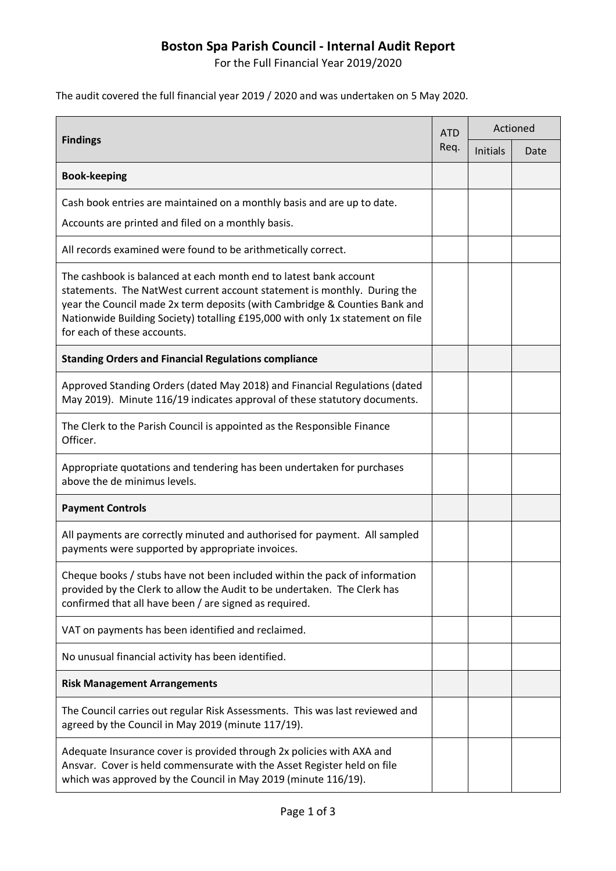## **Boston Spa Parish Council - Internal Audit Report**

For the Full Financial Year 2019/2020

The audit covered the full financial year 2019 / 2020 and was undertaken on 5 May 2020.

| <b>Findings</b>                                                                                                                                                                                                                                                                                                                              | <b>ATD</b><br>Req. | Actioned |      |
|----------------------------------------------------------------------------------------------------------------------------------------------------------------------------------------------------------------------------------------------------------------------------------------------------------------------------------------------|--------------------|----------|------|
|                                                                                                                                                                                                                                                                                                                                              |                    | Initials | Date |
| <b>Book-keeping</b>                                                                                                                                                                                                                                                                                                                          |                    |          |      |
| Cash book entries are maintained on a monthly basis and are up to date.<br>Accounts are printed and filed on a monthly basis.                                                                                                                                                                                                                |                    |          |      |
| All records examined were found to be arithmetically correct.                                                                                                                                                                                                                                                                                |                    |          |      |
| The cashbook is balanced at each month end to latest bank account<br>statements. The NatWest current account statement is monthly. During the<br>year the Council made 2x term deposits (with Cambridge & Counties Bank and<br>Nationwide Building Society) totalling £195,000 with only 1x statement on file<br>for each of these accounts. |                    |          |      |
| <b>Standing Orders and Financial Regulations compliance</b>                                                                                                                                                                                                                                                                                  |                    |          |      |
| Approved Standing Orders (dated May 2018) and Financial Regulations (dated<br>May 2019). Minute 116/19 indicates approval of these statutory documents.                                                                                                                                                                                      |                    |          |      |
| The Clerk to the Parish Council is appointed as the Responsible Finance<br>Officer.                                                                                                                                                                                                                                                          |                    |          |      |
| Appropriate quotations and tendering has been undertaken for purchases<br>above the de minimus levels.                                                                                                                                                                                                                                       |                    |          |      |
| <b>Payment Controls</b>                                                                                                                                                                                                                                                                                                                      |                    |          |      |
| All payments are correctly minuted and authorised for payment. All sampled<br>payments were supported by appropriate invoices.                                                                                                                                                                                                               |                    |          |      |
| Cheque books / stubs have not been included within the pack of information<br>provided by the Clerk to allow the Audit to be undertaken. The Clerk has<br>confirmed that all have been / are signed as required.                                                                                                                             |                    |          |      |
| VAT on payments has been identified and reclaimed.                                                                                                                                                                                                                                                                                           |                    |          |      |
| No unusual financial activity has been identified.                                                                                                                                                                                                                                                                                           |                    |          |      |
| <b>Risk Management Arrangements</b>                                                                                                                                                                                                                                                                                                          |                    |          |      |
| The Council carries out regular Risk Assessments. This was last reviewed and<br>agreed by the Council in May 2019 (minute 117/19).                                                                                                                                                                                                           |                    |          |      |
| Adequate Insurance cover is provided through 2x policies with AXA and<br>Ansvar. Cover is held commensurate with the Asset Register held on file<br>which was approved by the Council in May 2019 (minute 116/19).                                                                                                                           |                    |          |      |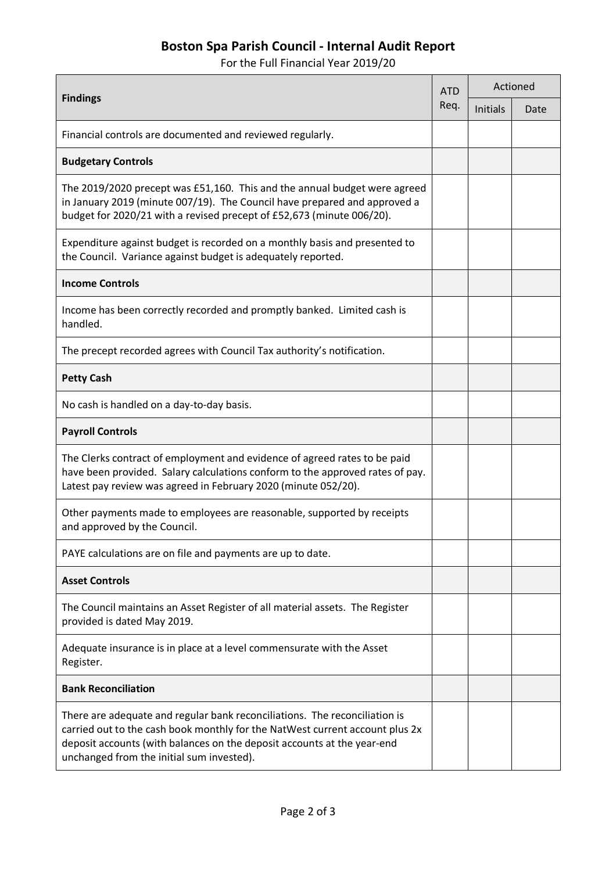## **Boston Spa Parish Council - Internal Audit Report**

For the Full Financial Year 2019/20

| <b>Findings</b>                                                                                                                                                                                                                                                                    | <b>ATD</b><br>Req. | Actioned        |      |
|------------------------------------------------------------------------------------------------------------------------------------------------------------------------------------------------------------------------------------------------------------------------------------|--------------------|-----------------|------|
|                                                                                                                                                                                                                                                                                    |                    | <b>Initials</b> | Date |
| Financial controls are documented and reviewed regularly.                                                                                                                                                                                                                          |                    |                 |      |
| <b>Budgetary Controls</b>                                                                                                                                                                                                                                                          |                    |                 |      |
| The 2019/2020 precept was £51,160. This and the annual budget were agreed<br>in January 2019 (minute 007/19). The Council have prepared and approved a<br>budget for 2020/21 with a revised precept of £52,673 (minute 006/20).                                                    |                    |                 |      |
| Expenditure against budget is recorded on a monthly basis and presented to<br>the Council. Variance against budget is adequately reported.                                                                                                                                         |                    |                 |      |
| <b>Income Controls</b>                                                                                                                                                                                                                                                             |                    |                 |      |
| Income has been correctly recorded and promptly banked. Limited cash is<br>handled.                                                                                                                                                                                                |                    |                 |      |
| The precept recorded agrees with Council Tax authority's notification.                                                                                                                                                                                                             |                    |                 |      |
| <b>Petty Cash</b>                                                                                                                                                                                                                                                                  |                    |                 |      |
| No cash is handled on a day-to-day basis.                                                                                                                                                                                                                                          |                    |                 |      |
| <b>Payroll Controls</b>                                                                                                                                                                                                                                                            |                    |                 |      |
| The Clerks contract of employment and evidence of agreed rates to be paid<br>have been provided. Salary calculations conform to the approved rates of pay.<br>Latest pay review was agreed in February 2020 (minute 052/20).                                                       |                    |                 |      |
| Other payments made to employees are reasonable, supported by receipts<br>and approved by the Council.                                                                                                                                                                             |                    |                 |      |
| PAYE calculations are on file and payments are up to date.                                                                                                                                                                                                                         |                    |                 |      |
| <b>Asset Controls</b>                                                                                                                                                                                                                                                              |                    |                 |      |
| The Council maintains an Asset Register of all material assets. The Register<br>provided is dated May 2019.                                                                                                                                                                        |                    |                 |      |
| Adequate insurance is in place at a level commensurate with the Asset<br>Register.                                                                                                                                                                                                 |                    |                 |      |
| <b>Bank Reconciliation</b>                                                                                                                                                                                                                                                         |                    |                 |      |
| There are adequate and regular bank reconciliations. The reconciliation is<br>carried out to the cash book monthly for the NatWest current account plus 2x<br>deposit accounts (with balances on the deposit accounts at the year-end<br>unchanged from the initial sum invested). |                    |                 |      |